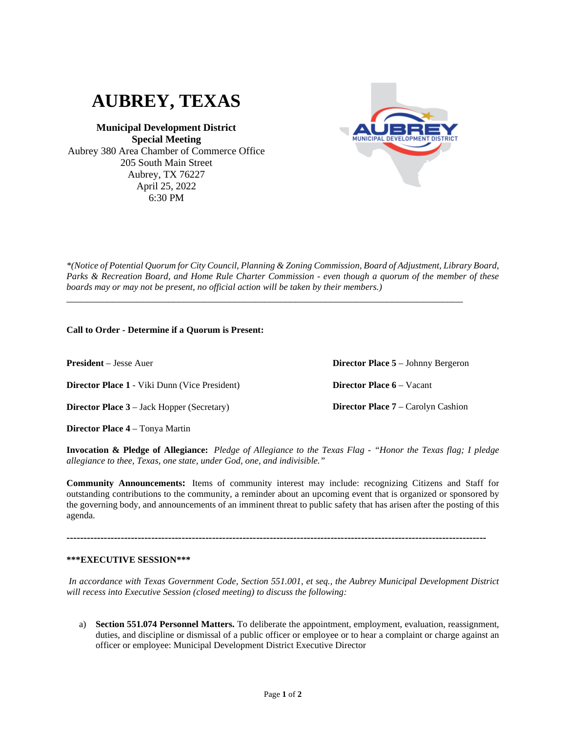# **AUBREY, TEXAS**

**Municipal Development District Special Meeting** Aubrey 380 Area Chamber of Commerce Office 205 South Main Street Aubrey, TX 76227 April 25, 2022 6:30 PM



*\*(Notice of Potential Quorum for City Council, Planning & Zoning Commission, Board of Adjustment, Library Board, Parks & Recreation Board, and Home Rule Charter Commission - even though a quorum of the member of these boards may or may not be present, no official action will be taken by their members.)*

\_\_\_\_\_\_\_\_\_\_\_\_\_\_\_\_\_\_\_\_\_\_\_\_\_\_\_\_\_\_\_\_\_\_\_\_\_\_\_\_\_\_\_\_\_\_\_\_\_\_\_\_\_\_\_\_\_\_\_\_\_\_\_\_\_\_\_\_\_\_\_\_\_\_\_\_\_\_

## **Call to Order - Determine if a Quorum is Present:**

**President** – Jesse Auer

**Director Place 1** - Viki Dunn (Vice President)

**Director Place 3** – Jack Hopper (Secretary)

**Director Place 4** – Tonya Martin

**Invocation & Pledge of Allegiance:** *Pledge of Allegiance to the Texas Flag - "Honor the Texas flag; I pledge allegiance to thee, Texas, one state, under God, one, and indivisible."*

**Community Announcements:** Items of community interest may include: recognizing Citizens and Staff for outstanding contributions to the community, a reminder about an upcoming event that is organized or sponsored by the governing body, and announcements of an imminent threat to public safety that has arisen after the posting of this agenda.

**----------------------------------------------------------------------------------------------------------------------------**

#### **\*\*\*EXECUTIVE SESSION\*\*\***

*In accordance with Texas Government Code, Section 551.001, et seq., the Aubrey Municipal Development District will recess into Executive Session (closed meeting) to discuss the following:*

a) **Section 551.074 Personnel Matters.** To deliberate the appointment, employment, evaluation, reassignment, duties, and discipline or dismissal of a public officer or employee or to hear a complaint or charge against an officer or employee: Municipal Development District Executive Director

**Director Place 5** – Johnny Bergeron **Director Place 6** – Vacant **Director Place 7** – Carolyn Cashion